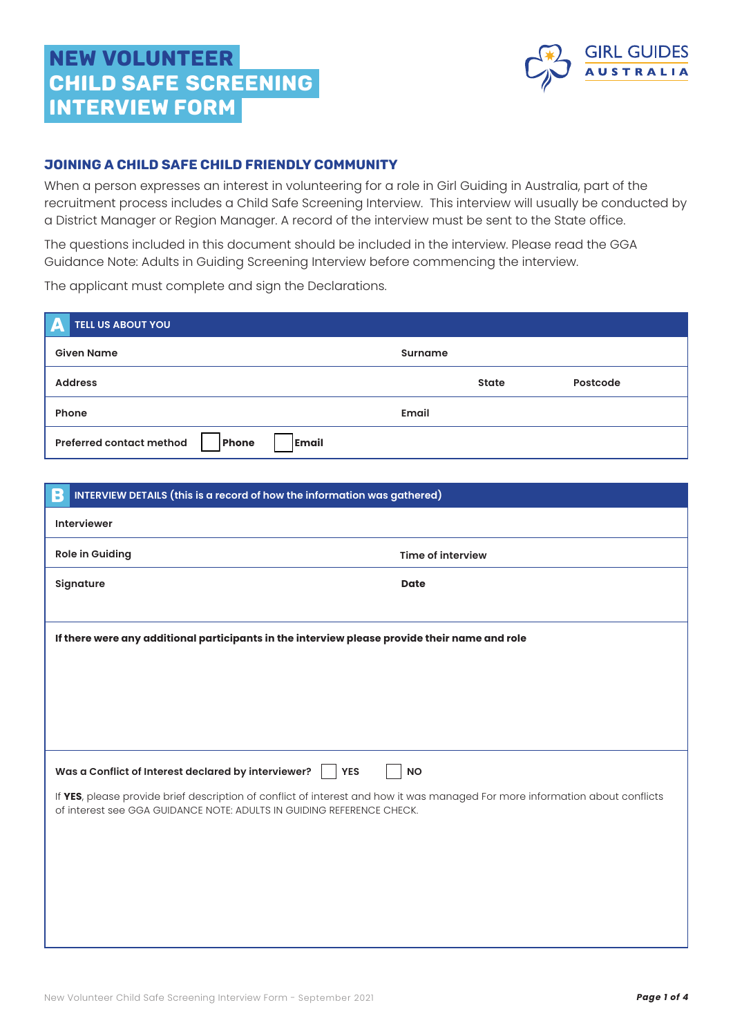# NEW VOLUNTEER CHILD SAFE SCREENING INTERVIEW form



## JOINING A CHILD SAFE CHILD FRIENDLY COMMUNITY

When a person expresses an interest in volunteering for a role in Girl Guiding in Australia, part of the recruitment process includes a Child Safe Screening Interview. This interview will usually be conducted by a District Manager or Region Manager. A record of the interview must be sent to the State office.

The questions included in this document should be included in the interview. Please read the GGA Guidance Note: Adults in Guiding Screening Interview before commencing the interview.

The applicant must complete and sign the Declarations.

| <b>TELL US ABOUT YOU</b><br>L                     |                |          |
|---------------------------------------------------|----------------|----------|
| <b>Given Name</b>                                 | <b>Surname</b> |          |
| <b>Address</b>                                    | State          | Postcode |
| Phone                                             | Email          |          |
| Email<br><b>Preferred contact method</b><br>Phone |                |          |

| B                                                                                                                                                                                                     | INTERVIEW DETAILS (this is a record of how the information was gathered) |                          |  |  |
|-------------------------------------------------------------------------------------------------------------------------------------------------------------------------------------------------------|--------------------------------------------------------------------------|--------------------------|--|--|
|                                                                                                                                                                                                       | <b>Interviewer</b>                                                       |                          |  |  |
|                                                                                                                                                                                                       | <b>Role in Guiding</b>                                                   | <b>Time of interview</b> |  |  |
|                                                                                                                                                                                                       | Signature                                                                | <b>Date</b>              |  |  |
|                                                                                                                                                                                                       |                                                                          |                          |  |  |
| If there were any additional participants in the interview please provide their name and role                                                                                                         |                                                                          |                          |  |  |
|                                                                                                                                                                                                       |                                                                          |                          |  |  |
|                                                                                                                                                                                                       |                                                                          |                          |  |  |
|                                                                                                                                                                                                       |                                                                          |                          |  |  |
|                                                                                                                                                                                                       |                                                                          |                          |  |  |
| Was a Conflict of Interest declared by interviewer?<br><b>NO</b><br><b>YES</b>                                                                                                                        |                                                                          |                          |  |  |
| If YES, please provide brief description of conflict of interest and how it was managed For more information about conflicts<br>of interest see GGA GUIDANCE NOTE: ADULTS IN GUIDING REFERENCE CHECK. |                                                                          |                          |  |  |
|                                                                                                                                                                                                       |                                                                          |                          |  |  |
|                                                                                                                                                                                                       |                                                                          |                          |  |  |
|                                                                                                                                                                                                       |                                                                          |                          |  |  |
|                                                                                                                                                                                                       |                                                                          |                          |  |  |
|                                                                                                                                                                                                       |                                                                          |                          |  |  |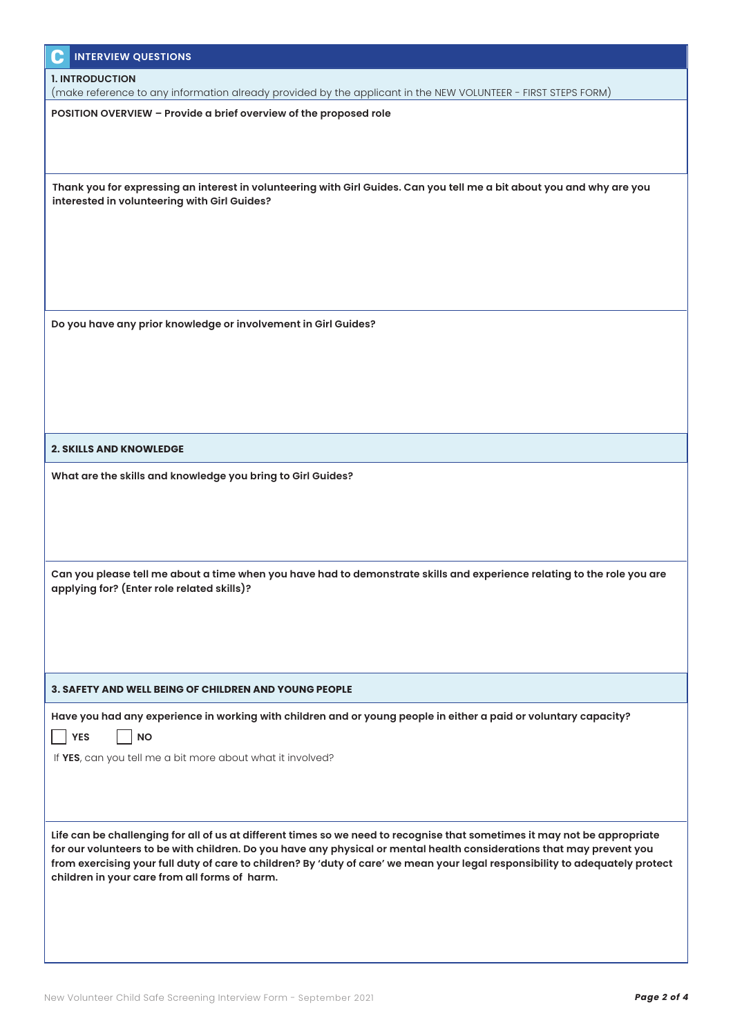| <b>INTERVIEW QUESTIONS</b><br>C                                                                                                                                                                                                                        |
|--------------------------------------------------------------------------------------------------------------------------------------------------------------------------------------------------------------------------------------------------------|
| <b>1. INTRODUCTION</b>                                                                                                                                                                                                                                 |
| (make reference to any information already provided by the applicant in the NEW VOLUNTEER - FIRST STEPS FORM)                                                                                                                                          |
| POSITION OVERVIEW - Provide a brief overview of the proposed role                                                                                                                                                                                      |
|                                                                                                                                                                                                                                                        |
|                                                                                                                                                                                                                                                        |
| Thank you for expressing an interest in volunteering with Girl Guides. Can you tell me a bit about you and why are you                                                                                                                                 |
| interested in volunteering with Girl Guides?                                                                                                                                                                                                           |
|                                                                                                                                                                                                                                                        |
|                                                                                                                                                                                                                                                        |
|                                                                                                                                                                                                                                                        |
|                                                                                                                                                                                                                                                        |
| Do you have any prior knowledge or involvement in Girl Guides?                                                                                                                                                                                         |
|                                                                                                                                                                                                                                                        |
|                                                                                                                                                                                                                                                        |
|                                                                                                                                                                                                                                                        |
|                                                                                                                                                                                                                                                        |
|                                                                                                                                                                                                                                                        |
| <b>2. SKILLS AND KNOWLEDGE</b>                                                                                                                                                                                                                         |
| What are the skills and knowledge you bring to Girl Guides?                                                                                                                                                                                            |
|                                                                                                                                                                                                                                                        |
|                                                                                                                                                                                                                                                        |
|                                                                                                                                                                                                                                                        |
|                                                                                                                                                                                                                                                        |
| Can you please tell me about a time when you have had to demonstrate skills and experience relating to the role you are                                                                                                                                |
| applying for? (Enter role related skills)?                                                                                                                                                                                                             |
|                                                                                                                                                                                                                                                        |
|                                                                                                                                                                                                                                                        |
|                                                                                                                                                                                                                                                        |
| <b>3. SAFETY AND WELL BEING OF CHILDREN AND YOUNG PEOPLE</b>                                                                                                                                                                                           |
| Have you had any experience in working with children and or young people in either a paid or voluntary capacity?                                                                                                                                       |
| <b>YES</b><br><b>NO</b>                                                                                                                                                                                                                                |
| If YES, can you tell me a bit more about what it involved?                                                                                                                                                                                             |
|                                                                                                                                                                                                                                                        |
|                                                                                                                                                                                                                                                        |
|                                                                                                                                                                                                                                                        |
| Life can be challenging for all of us at different times so we need to recognise that sometimes it may not be appropriate                                                                                                                              |
| for our volunteers to be with children. Do you have any physical or mental health considerations that may prevent you<br>from exercising your full duty of care to children? By 'duty of care' we mean your legal responsibility to adequately protect |
| children in your care from all forms of harm.                                                                                                                                                                                                          |
|                                                                                                                                                                                                                                                        |
|                                                                                                                                                                                                                                                        |
|                                                                                                                                                                                                                                                        |
|                                                                                                                                                                                                                                                        |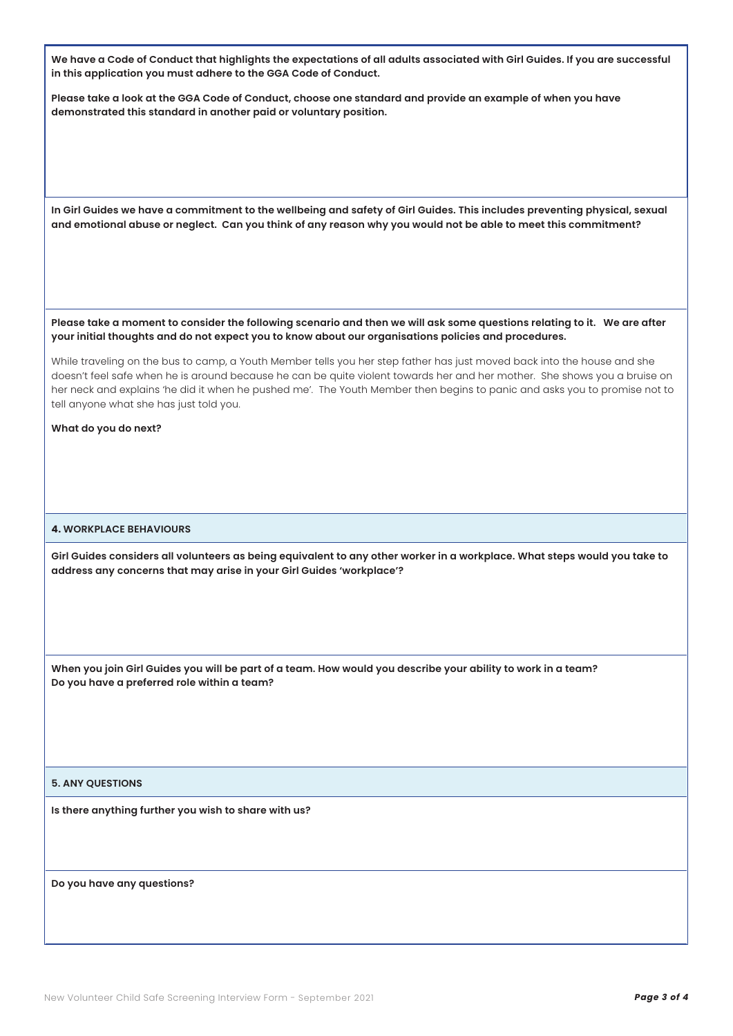**We have a Code of Conduct that highlights the expectations of all adults associated with Girl Guides. If you are successful in this application you must adhere to the GGA Code of Conduct.** 

**Please take a look at the GGA Code of Conduct, choose one standard and provide an example of when you have demonstrated this standard in another paid or voluntary position.** 

**In Girl Guides we have a commitment to the wellbeing and safety of Girl Guides. This includes preventing physical, sexual and emotional abuse or neglect. Can you think of any reason why you would not be able to meet this commitment?** 

**Please take a moment to consider the following scenario and then we will ask some questions relating to it. We are after your initial thoughts and do not expect you to know about our organisations policies and procedures.**

While traveling on the bus to camp, a Youth Member tells you her step father has just moved back into the house and she doesn't feel safe when he is around because he can be quite violent towards her and her mother. She shows you a bruise on her neck and explains 'he did it when he pushed me'. The Youth Member then begins to panic and asks you to promise not to tell anyone what she has just told you.

**What do you do next?** 

#### **4. WORKPLACE BEHAVIOURS**

**Girl Guides considers all volunteers as being equivalent to any other worker in a workplace. What steps would you take to address any concerns that may arise in your Girl Guides 'workplace'?**

**When you join Girl Guides you will be part of a team. How would you describe your ability to work in a team? Do you have a preferred role within a team?** 

#### **5. ANY QUESTIONS**

**Is there anything further you wish to share with us?**

**Do you have any questions?**